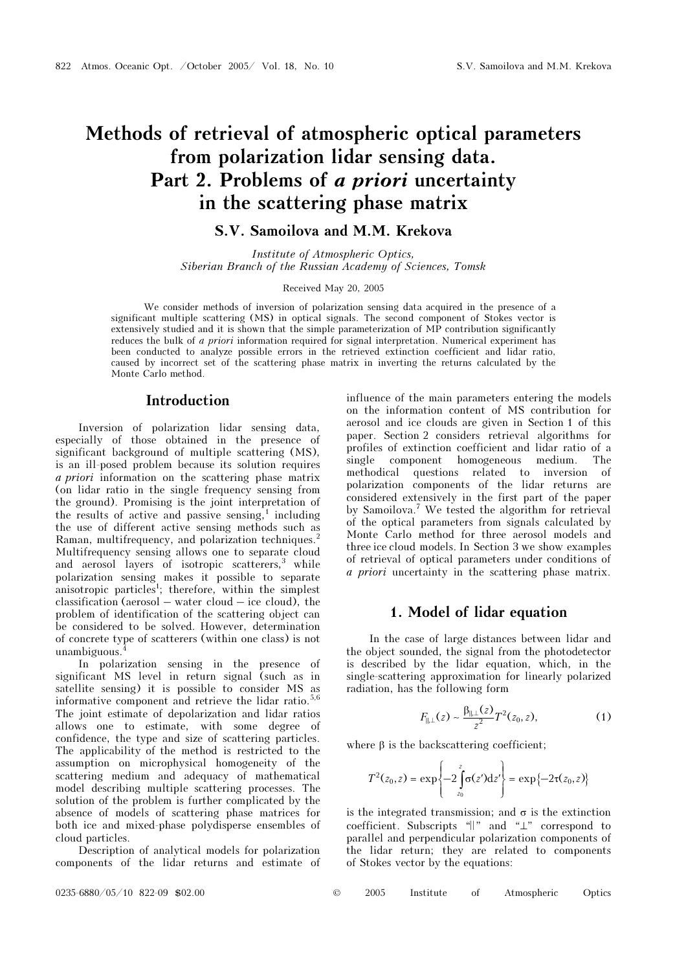# Methods of retrieval of atmospheric optical parameters from polarization lidar sensing data. Part 2. Problems of a priori uncertainty in the scattering phase matrix

## S.V. Samoilova and M.M. Krekova

Institute of Atmospheric Optics, Siberian Branch of the Russian Academy of Sciences, Tomsk

### Received May 20, 2005

We consider methods of inversion of polarization sensing data acquired in the presence of a significant multiple scattering (MS) in optical signals. The second component of Stokes vector is extensively studied and it is shown that the simple parameterization of MP contribution significantly reduces the bulk of a priori information required for signal interpretation. Numerical experiment has been conducted to analyze possible errors in the retrieved extinction coefficient and lidar ratio, caused by incorrect set of the scattering phase matrix in inverting the returns calculated by the Monte Carlo method.

## Introduction

Inversion of polarization lidar sensing data, especially of those obtained in the presence of significant background of multiple scattering (MS), is an ill-posed problem because its solution requires a priori information on the scattering phase matrix (on lidar ratio in the single frequency sensing from the ground). Promising is the joint interpretation of the results of active and passive sensing, $\frac{1}{1}$  including the use of different active sensing methods such as Raman, multifrequency, and polarization techniques.<sup>2</sup> Multifrequency sensing allows one to separate cloud and aerosol layers of isotropic scatterers,<sup>3</sup> while polarization sensing makes it possible to separate anisotropic particles<sup>1</sup>; therefore, within the simplest classification (aerosol – water cloud – ice cloud), the problem of identification of the scattering object can be considered to be solved. However, determination of concrete type of scatterers (within one class) is not unambiguous.<sup>4</sup>

In polarization sensing in the presence of significant MS level in return signal (such as in satellite sensing) it is possible to consider MS as informative component and retrieve the lidar ratio.<sup>5,6</sup> The joint estimate of depolarization and lidar ratios allows one to estimate, with some degree of confidence, the type and size of scattering particles. The applicability of the method is restricted to the assumption on microphysical homogeneity of the scattering medium and adequacy of mathematical model describing multiple scattering processes. The solution of the problem is further complicated by the absence of models of scattering phase matrices for both ice and mixed-phase polydisperse ensembles of cloud particles.

Description of analytical models for polarization components of the lidar returns and estimate of influence of the main parameters entering the models on the information content of MS contribution for aerosol and ice clouds are given in Section 1 of this paper. Section 2 considers retrieval algorithms for profiles of extinction coefficient and lidar ratio of a single component homogeneous medium. The methodical questions related to inversion of polarization components of the lidar returns are considered extensively in the first part of the paper by Samoilova.<sup>7</sup> We tested the algorithm for retrieval of the optical parameters from signals calculated by Monte Carlo method for three aerosol models and three ice cloud models. In Section 3 we show examples of retrieval of optical parameters under conditions of a priori uncertainty in the scattering phase matrix.

## 1. Model of lidar equation

In the case of large distances between lidar and the object sounded, the signal from the photodetector is described by the lidar equation, which, in the single-scattering approximation for linearly polarized radiation, has the following form

$$
F_{\parallel, \perp}(z) \sim \frac{\beta_{\parallel, \perp}(z)}{z^2} T^2(z_0, z), \tag{1}
$$

where  $\beta$  is the backscattering coefficient;

$$
T^{2}(z_{0}, z) = \exp \left\{-2 \int_{z_{0}}^{z} \sigma(z') \mathrm{d} z'\right\} = \exp \{-2\tau(z_{0}, z)\}
$$

is the integrated transmission; and  $\sigma$  is the extinction coefficient. Subscripts "⎢⎢" and "⊥" correspond to parallel and perpendicular polarization components of the lidar return; they are related to components of Stokes vector by the equations: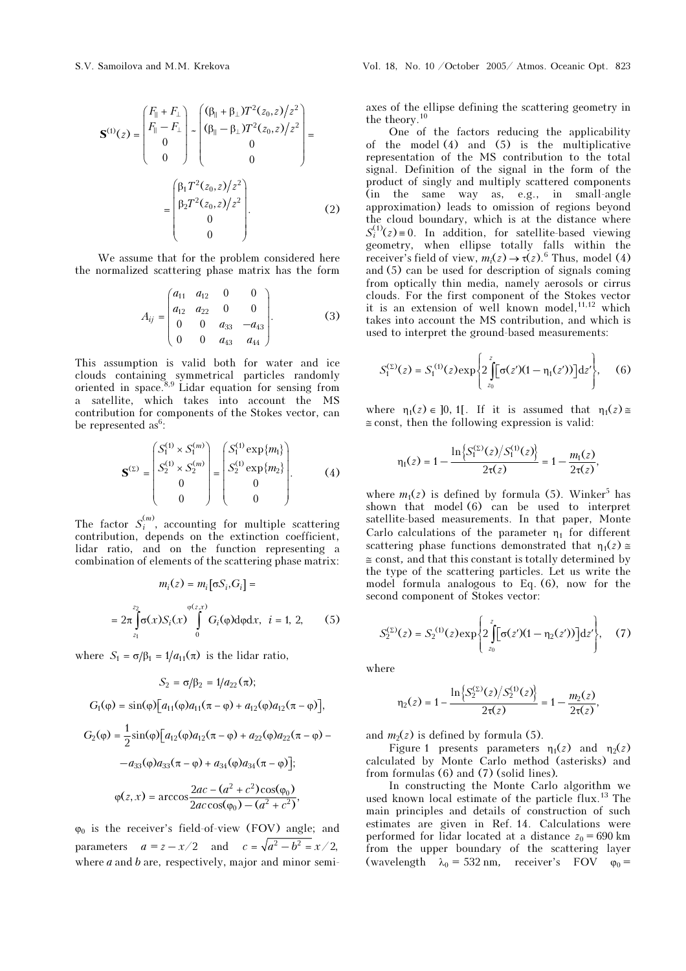$$
\mathbf{S}^{(1)}(z) = \begin{pmatrix} F_{\parallel} + F_{\perp} \\ F_{\parallel} - F_{\perp} \\ 0 \\ 0 \end{pmatrix} - \begin{pmatrix} (\beta_{\parallel} + \beta_{\perp}) T^2(z_0, z) / z^2 \\ (\beta_{\parallel} - \beta_{\perp}) T^2(z_0, z) / z^2 \\ 0 \\ 0 \end{pmatrix} = \begin{pmatrix} \beta_1 T^2(z_0, z) / z^2 \\ \beta_2 T^2(z_0, z) / z^2 \\ 0 \\ 0 \end{pmatrix} .
$$
 (2)

We assume that for the problem considered here the normalized scattering phase matrix has the form

$$
A_{ij} = \begin{pmatrix} a_{11} & a_{12} & 0 & 0 \\ a_{12} & a_{22} & 0 & 0 \\ 0 & 0 & a_{33} & -a_{43} \\ 0 & 0 & a_{43} & a_{44} \end{pmatrix}.
$$
 (3)

This assumption is valid both for water and ice clouds containing symmetrical particles randomly oriented in space. $8.9$  Lidar equation for sensing from a satellite, which takes into account the MS contribution for components of the Stokes vector, can be represented as<sup>6</sup>:

$$
\mathbf{S}^{(\Sigma)} = \begin{pmatrix} S_1^{(1)} \times S_1^{(m)} \\ S_2^{(1)} \times S_2^{(m)} \\ 0 \\ 0 \end{pmatrix} = \begin{pmatrix} S_1^{(1)} \exp\{m_1\} \\ S_2^{(1)} \exp\{m_2\} \\ 0 \\ 0 \end{pmatrix} . \tag{4}
$$

The factor  $S_i^{(m)}$ , accounting for multiple scattering contribution, depends on the extinction coefficient, lidar ratio, and on the function representing a combination of elements of the scattering phase matrix:

$$
m_i(z) = m_i [\sigma S_i, G_i] =
$$
  
=  $2\pi \int_{z_1}^{z_2} \sigma(x) S_i(x) \int_{0}^{\varphi(z, x)} G_i(\varphi) d\varphi dx$ ,  $i = 1, 2,$  (5)

where  $S_1 = \sigma/\beta_1 = 1/a_{11}(\pi)$  is the lidar ratio,

$$
S_2 = \sigma/\beta_2 = 1/a_{22}(\pi);
$$

$$
G_1(\varphi) = \sin(\varphi) \Big[ a_{11}(\varphi) a_{11}(\pi - \varphi) + a_{12}(\varphi) a_{12}(\pi - \varphi) \Big],
$$

$$
G_2(\varphi) = \frac{1}{2}\sin(\varphi)\Big[a_{12}(\varphi)a_{12}(\pi - \varphi) + a_{22}(\varphi)a_{22}(\pi - \varphi) - a_{33}(\varphi)a_{33}(\pi - \varphi) + a_{34}(\varphi)a_{34}(\pi - \varphi)\Big];
$$

$$
\varphi(z, x) = \arccos\frac{2ac - (a^2 + c^2)\cos(\varphi_0)}{2ac\cos(\varphi_0) - (a^2 + c^2)},
$$

 $\varphi_0$  is the receiver's field-of-view (FOV) angle; and parameters  $a = z - x/2$  and  $c = \sqrt{a^2 - b^2} = x/2$ , where  $a$  and  $b$  are, respectively, major and minor semiaxes of the ellipse defining the scattering geometry in the theory.<sup>10</sup>

One of the factors reducing the applicability of the model (4) and (5) is the multiplicative representation of the MS contribution to the total signal. Definition of the signal in the form of the product of singly and multiply scattered components (in the same way as, e.g., in small-angle approximation) leads to omission of regions beyond the cloud boundary, which is at the distance where  $S_i^{(1)}(z) \equiv 0$ . In addition, for satellite-based viewing geometry, when ellipse totally falls within the receiver's field of view,  $m_i(z) \rightarrow \tau(z)$ .<sup>6</sup> Thus, model (4) and (5) can be used for description of signals coming from optically thin media, namely aerosols or cirrus clouds. For the first component of the Stokes vector it is an extension of well known model,  $11,12$  which takes into account the MS contribution, and which is used to interpret the ground-based measurements:

$$
S_1^{(\Sigma)}(z) = S_1^{(1)}(z) \exp \left\{ 2 \int_{z_0}^{z} [\sigma(z')(1 - \eta_1(z'))] dz' \right\}, \quad (6)
$$

where  $\eta_1(z) \in [0, 1]$ . If it is assumed that  $\eta_1(z) \approx$  $\cong$  const, then the following expression is valid:

$$
\eta_1(z) = 1 - \frac{\ln\left\{S_1^{(\Sigma)}(z)/S_1^{(1)}(z)\right\}}{2\tau(z)} = 1 - \frac{m_1(z)}{2\tau(z)},
$$

where  $m_1(z)$  is defined by formula (5). Winker<sup>5</sup> has shown that model (6) can be used to interpret satellite-based measurements. In that paper, Monte Carlo calculations of the parameter  $\eta_1$  for different scattering phase functions demonstrated that  $\eta_1(z) \approx$  $\approx$  const, and that this constant is totally determined by the type of the scattering particles. Let us write the model formula analogous to Eq. (6), now for the second component of Stokes vector:

$$
S_2^{(\Sigma)}(z) = S_2^{(1)}(z) \exp \left\{ 2 \int_{z_0}^{z} [\sigma(z')(1 - \eta_2(z'))] dz' \right\}, \quad (7)
$$

where

$$
\eta_2(z) = 1 - \frac{\ln \left\{ S_2^{(z)}(z) / S_2^{(1)}(z) \right\}}{2\tau(z)} = 1 - \frac{m_2(z)}{2\tau(z)},
$$

and  $m_2(z)$  is defined by formula (5).

Figure 1 presents parameters  $\eta_1(z)$  and  $\eta_2(z)$ calculated by Monte Carlo method (asterisks) and from formulas (6) and (7) (solid lines).

In constructing the Monte Carlo algorithm we used known local estimate of the particle flux.<sup>13</sup> The main principles and details of construction of such estimates are given in Ref. 14. Calculations were performed for lidar located at a distance  $z_0 = 690$  km from the upper boundary of the scattering layer (wavelength  $\lambda_0 = 532$  nm, receiver's FOV  $\varphi_0 =$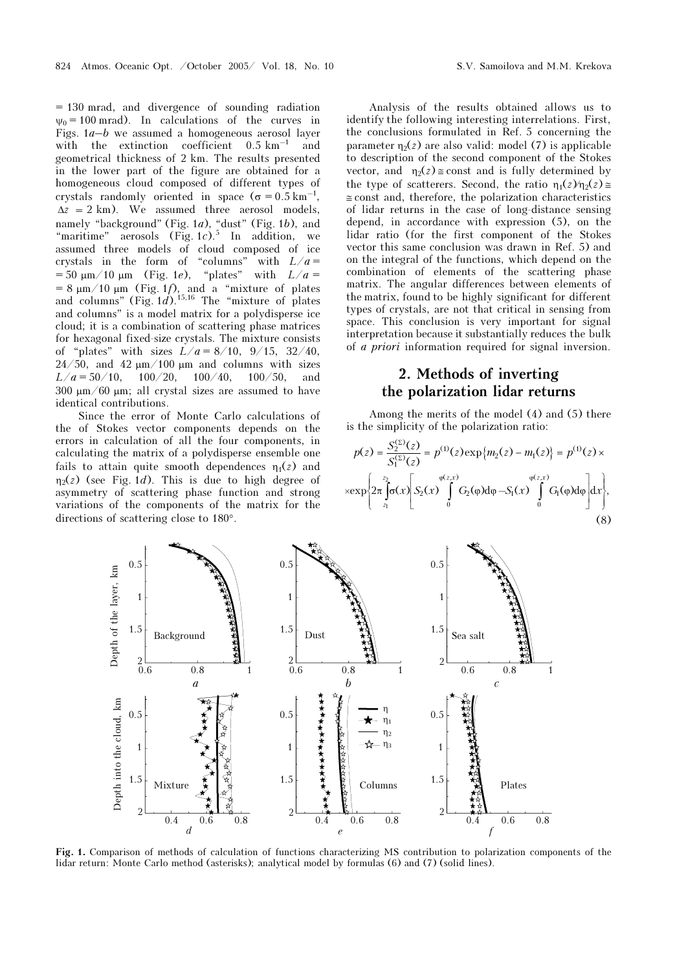= 130 mrad, and divergence of sounding radiation  $\psi_0 = 100$  mrad). In calculations of the curves in Figs.  $1a-b$  we assumed a homogeneous aerosol layer with the extinction coefficient  $0.5 \text{ km}^{-1}$  and geometrical thickness of 2 km. The results presented in the lower part of the figure are obtained for a homogeneous cloud composed of different types of crystals randomly oriented in space ( $\sigma = 0.5 \text{ km}^{-1}$ ,  $\Delta z = 2 \text{ km}$ . We assumed three aerosol models, namely "background" (Fig. 1a), "dust" (Fig. 1b), and "maritime" aerosols  $(Fig. 1c).$ <sup>5</sup> In addition, we assumed three models of cloud composed of ice crystals in the form of "columns" with  $L/a =$  $= 50 \text{ nm}/10 \text{ nm}$  (Fig. 1e), "plates" with  $L/a =$  $= 8 \mu \text{m} / 10 \mu \text{m}$  (Fig. 1*f*), and a "mixture of plates and columns" (Fig.  $1d$ ).<sup>15,16</sup> The "mixture of plates" and columns" is a model matrix for a polydisperse ice cloud; it is a combination of scattering phase matrices for hexagonal fixed-size crystals. The mixture consists of "plates" with sizes  $L/a = 8/10$ ,  $9/15$ ,  $32/40$ ,  $24/50$ , and  $42 \mu m/100 \mu m$  and columns with sizes  $L/a = 50/10$ ,  $100/20$ ,  $100/40$ ,  $100/50$ , and 300  $\mu$ m/60  $\mu$ m; all crystal sizes are assumed to have identical contributions.

Since the error of Monte Carlo calculations of the of Stokes vector components depends on the errors in calculation of all the four components, in calculating the matrix of a polydisperse ensemble one fails to attain quite smooth dependences  $\eta_1(z)$  and  $\eta_2(z)$  (see Fig. 1*d*). This is due to high degree of asymmetry of scattering phase function and strong variations of the components of the matrix for the directions of scattering close to 180°.

Analysis of the results obtained allows us to identify the following interesting interrelations. First, the conclusions formulated in Ref. 5 concerning the parameter  $\eta_2(z)$  are also valid: model (7) is applicable to description of the second component of the Stokes vector, and  $\eta_2(z) \approx$  const and is fully determined by the type of scatterers. Second, the ratio  $\eta_1(z)/\eta_2(z) \approx$ ≅ const and, therefore, the polarization characteristics of lidar returns in the case of long-distance sensing depend, in accordance with expression (5), on the lidar ratio (for the first component of the Stokes vector this same conclusion was drawn in Ref. 5) and on the integral of the functions, which depend on the combination of elements of the scattering phase matrix. The angular differences between elements of the matrix, found to be highly significant for different types of crystals, are not that critical in sensing from space. This conclusion is very important for signal interpretation because it substantially reduces the bulk of a priori information required for signal inversion.

## 2. Methods of inverting the polarization lidar returns

Among the merits of the model (4) and (5) there is the simplicity of the polarization ratio:

$$
p(z) = \frac{S_2^{(2)}(z)}{S_1^{(2)}(z)} = p^{(1)}(z) \exp\{m_2(z) - m_1(z)\} = p^{(1)}(z) \times \exp\left\{2\pi \int_{z_1}^{z_2} \sigma(x) \int_0^{\varphi(z, x)} G_2(\varphi) d\varphi - S_1(x) \int_0^{\varphi(z, x)} G_1(\varphi) d\varphi \right\} dx\},\tag{8}
$$



Fig. 1. Comparison of methods of calculation of functions characterizing MS contribution to polarization components of the lidar return: Monte Carlo method (asterisks); analytical model by formulas (6) and (7) (solid lines).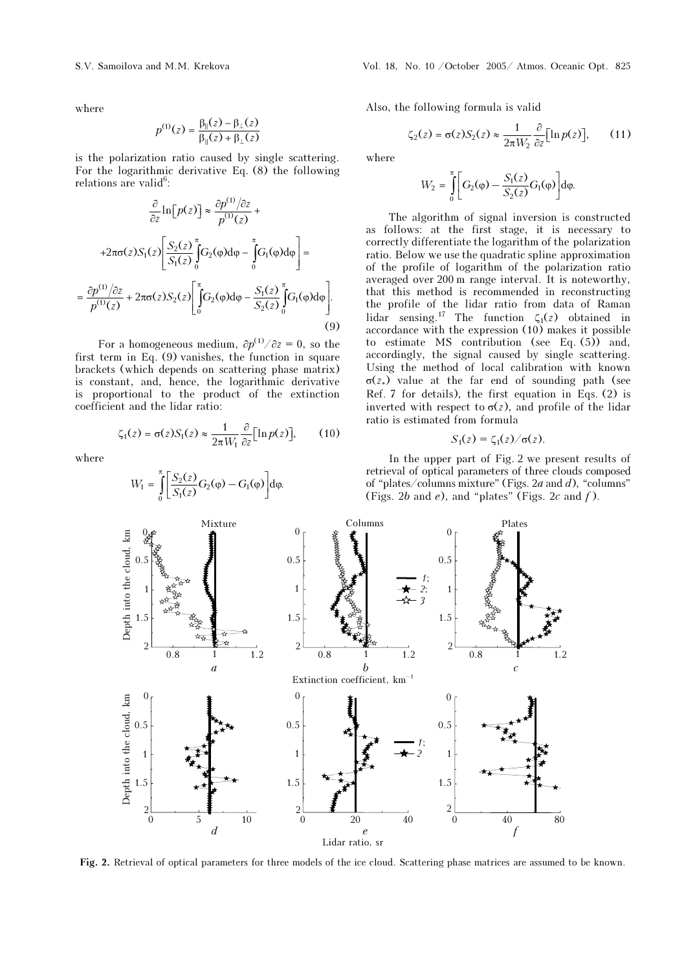where

$$
p^{(1)}(z) = \frac{\beta_{\parallel}(z) - \beta_{\perp}(z)}{\beta_{\parallel}(z) + \beta_{\perp}(z)}
$$

is the polarization ratio caused by single scattering. For the logarithmic derivative Eq. (8) the following relations are valid<sup>6</sup>:

$$
\frac{\partial}{\partial z} \ln[p(z)] \approx \frac{\partial p^{(1)}/\partial z}{p^{(1)}(z)} +
$$
  
+2\pi\sigma(z)S<sub>1</sub>(z) 
$$
\left[ \frac{S_2(z)}{S_1(z)} \int_0^{\pi} G_2(\varphi) d\varphi - \int_0^{\pi} G_1(\varphi) d\varphi \right] =
$$

$$
= \frac{\partial p^{(1)}/\partial z}{p^{(1)}(z)} + 2\pi\sigma(z)S_2(z) \left[ \int_0^{\pi} G_2(\varphi) d\varphi - \frac{S_1(z)}{S_2(z)} \int_0^{\pi} G_1(\varphi) d\varphi \right].
$$
(9)

For a homogeneous medium,  $\partial p^{(1)}/\partial z = 0$ , so the first term in Eq. (9) vanishes, the function in square brackets (which depends on scattering phase matrix) is constant, and, hence, the logarithmic derivative is proportional to the product of the extinction coefficient and the lidar ratio:

$$
\zeta_1(z) = \sigma(z) S_1(z) \approx \frac{1}{2\pi W_1} \frac{\partial}{\partial z} \left[ \ln p(z) \right],\qquad(10)
$$

where

$$
W_1 = \int_0^{\pi} \left[ \frac{S_2(z)}{S_1(z)} G_2(\varphi) - G_1(\varphi) \right] d\varphi.
$$

Also, the following formula is valid

$$
\zeta_2(z) = \sigma(z) S_2(z) \approx \frac{1}{2\pi W_2} \frac{\partial}{\partial z} [\ln p(z)], \qquad (11)
$$

where

$$
W_2 = \int_0^{\pi} \left[ G_2(\varphi) - \frac{S_1(z)}{S_2(z)} G_1(\varphi) \right] d\varphi.
$$

The algorithm of signal inversion is constructed as follows: at the first stage, it is necessary to correctly differentiate the logarithm of the polarization ratio. Below we use the quadratic spline approximation of the profile of logarithm of the polarization ratio averaged over 200 m range interval. It is noteworthy, that this method is recommended in reconstructing the profile of the lidar ratio from data of Raman lidar sensing.<sup>17</sup> The function  $\zeta_1(z)$  obtained in accordance with the expression (10) makes it possible to estimate MS contribution (see Eq.  $(5)$ ) and, accordingly, the signal caused by single scattering. Using the method of local calibration with known  $σ(z_*)$  value at the far end of sounding path (see Ref. 7 for details), the first equation in Eqs. (2) is inverted with respect to  $\sigma(z)$ , and profile of the lidar ratio is estimated from formula

$$
S_1(z) = \zeta_1(z)/\sigma(z).
$$

In the upper part of Fig. 2 we present results of retrieval of optical parameters of three clouds composed of "plates/columns mixture" (Figs. 2*a* and  $d$ ), "columns" (Figs. 2b and  $e$ ), and "plates" (Figs. 2c and  $f$ ).



Fig. 2. Retrieval of optical parameters for three models of the ice cloud. Scattering phase matrices are assumed to be known.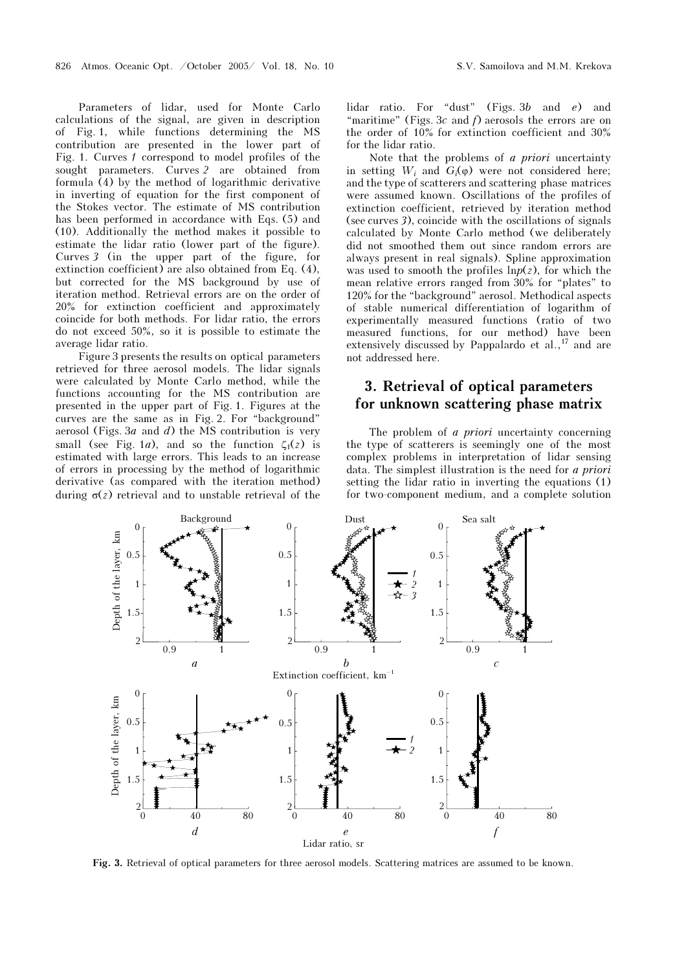Parameters of lidar, used for Monte Carlo calculations of the signal, are given in description Fig. 1, while functions determining the MS contribution are presented in the lower part of Fig. 1. Curves 1 correspond to model profiles of the sought parameters. Curves 2 are obtained from formula  $(4)$  by the method of logarithmic derivative in inverting of equation for the first component of the Stokes vector. The estimate of MS contribution has been performed in accordance with Eqs. (5) and (10). Additionally the method makes it possible to estimate the lidar ratio (lower part of the figure). Curves 3 (in the upper part of the figure, for extinction coefficient) are also obtained from Eq. (4), but corrected for the MS background by use of iteration method. Retrieval errors are on the order of 20% for extinction coefficient and approximately coincide for both methods. For lidar ratio, the errors do not exceed 50%, so it is possible to estimate the average lidar ratio.

Figure 3 presents the results on optical parameters retrieved for three aerosol models. The lidar signals were calculated by Monte Carlo method, while the functions accounting for the MS contribution are presented in the upper part of Fig. 1. Figures at the curves are the same as in Fig. 2. For "background" aerosol (Figs. 3 $a$  and  $d$ ) the MS contribution is very small (see Fig. 1*a*), and so the function  $\zeta_1(z)$  is estimated with large errors. This leads to an increase of errors in processing by the method of logarithmic derivative (as compared with the iteration method) during  $σ(z)$  retrieval and to unstable retrieval of the lidar ratio. For "dust" (Figs. 3b and e) and "maritime" (Figs. 3c and  $f$ ) aerosols the errors are on the order of 10% for extinction coefficient and 30% for the lidar ratio.

Note that the problems of a priori uncertainty in setting  $W_i$  and  $G_i(\varphi)$  were not considered here; and the type of scatterers and scattering phase matrices were assumed known. Oscillations of the profiles of extinction coefficient, retrieved by iteration method (see curves 3), coincide with the oscillations of signals calculated by Monte Carlo method (we deliberately did not smoothed them out since random errors are always present in real signals). Spline approximation was used to smooth the profiles  $\ln p(z)$ , for which the mean relative errors ranged from 30% for "plates" to 120% for the "background" aerosol. Methodical aspects of stable numerical differentiation of logarithm of experimentally measured functions (ratio of two measured functions, for our method) have been extensively discussed by Pappalardo et al.,<sup>17</sup> and are not addressed here.

# 3. Retrieval of optical parameters for unknown scattering phase matrix  $\mathbf{g}_1$

The problem of *a priori* uncertainty concerning the type of scatterers is seemingly one of the most complex problems in interpretation of lidar sensing data. The simplest illustration is the need for a priori setting the lidar ratio in inverting the equations (1) for two-component medium, and a complete solution



Fig. 3. Retrieval of optical parameters for three aerosol models. Scattering matrices are assumed to be known.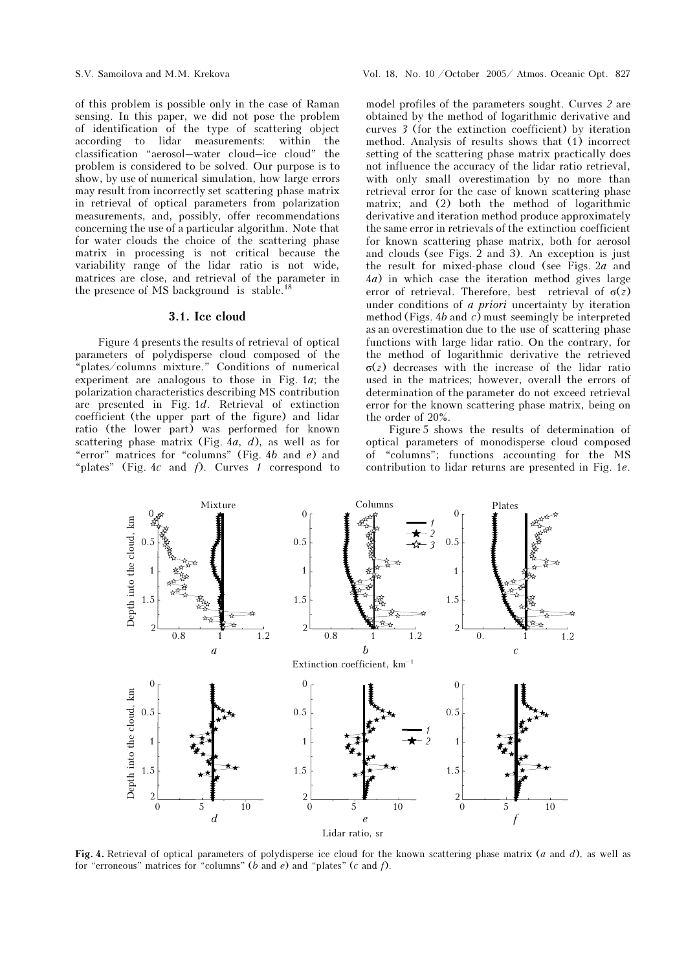of this problem is possible only in the case of Raman sensing. In this paper, we did not pose the problem of identification of the type of scattering object according to lidar measurements: within the classification "aerosol–water cloud–ice cloud" the problem is considered to be solved. Our purpose is to show, by use of numerical simulation, how large errors may result from incorrectly set scattering phase matrix in retrieval of optical parameters from polarization measurements, and, possibly, offer recommendations concerning the use of a particular algorithm. Note that for water clouds the choice of the scattering phase matrix in processing is not critical because the variability range of the lidar ratio is not wide, matrices are close, and retrieval of the parameter in the presence of MS background is stable.<sup>18</sup>

#### 3.1. Ice cloud

Figure 4 presents the results of retrieval of optical parameters of polydisperse cloud composed of the "plates/columns mixture." Conditions of numerical experiment are analogous to those in Fig.  $1a$ ; the polarization characteristics describing MS contribution are presented in Fig. 1d. Retrieval of extinction coefficient (the upper part of the figure) and lidar ratio (the lower part) was performed for known scattering phase matrix (Fig.  $4a$ , d), as well as for "error" matrices for "columns" (Fig. 4b and e) and "plates" (Fig.  $4c$  and  $f$ ). Curves 1 correspond to model profiles of the parameters sought. Curves 2 are obtained by the method of logarithmic derivative and curves 3 (for the extinction coefficient) by iteration method. Analysis of results shows that (1) incorrect setting of the scattering phase matrix practically does not influence the accuracy of the lidar ratio retrieval, with only small overestimation by no more than retrieval error for the case of known scattering phase matrix; and (2) both the method of logarithmic derivative and iteration method produce approximately the same error in retrievals of the extinction coefficient for known scattering phase matrix, both for aerosol and clouds (see Figs. 2 and 3). An exception is just the result for mixed-phase cloud (see Figs.  $2a$  and 4à) in which case the iteration method gives large error of retrieval. Therefore, best retrieval of  $\sigma(z)$ under conditions of a priori uncertainty by iteration method (Figs. 4b and c) must seemingly be interpreted as an overestimation due to the use of scattering phase functions with large lidar ratio. On the contrary, for the method of logarithmic derivative the retrieved σ(z) decreases with the increase of the lidar ratio used in the matrices; however, overall the errors of determination of the parameter do not exceed retrieval error for the known scattering phase matrix, being on the order of 20%.

Figure 5 shows the results of determination of optical parameters of monodisperse cloud composed of "columns"; functions accounting for the MS contribution to lidar returns are presented in Fig. 1e.



Fig. 4. Retrieval of optical parameters of polydisperse ice cloud for the known scattering phase matrix (*a* and *d*), as well as for "erroneous" matrices for "columns" (b and e) and "plates" (c and f).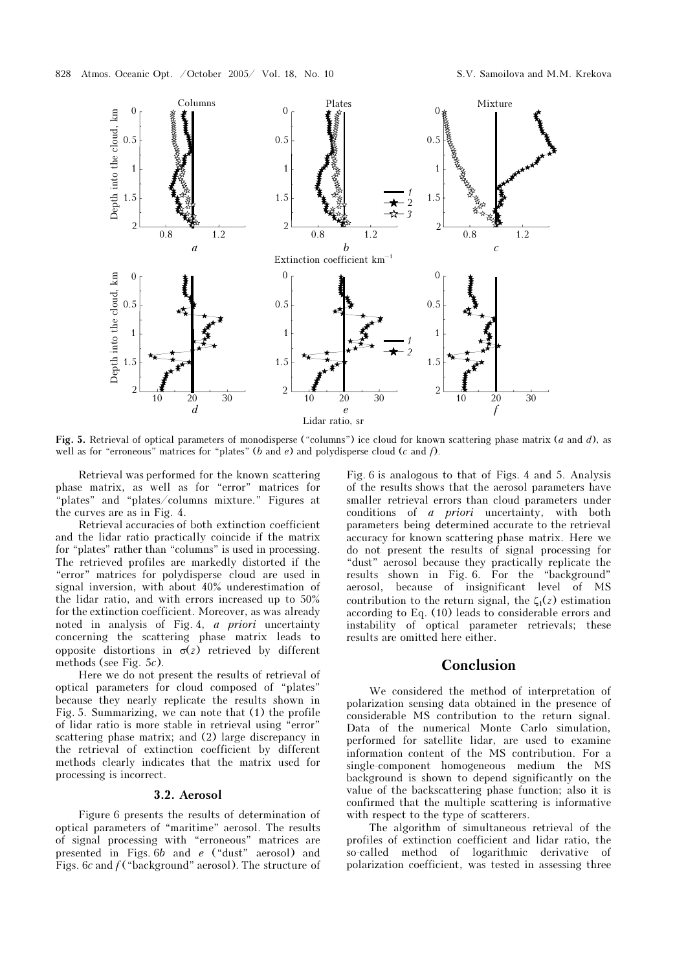

Fig. 5. Retrieval of optical parameters of monodisperse ("columns") ice cloud for known scattering phase matrix (a and d), as well as for "erroneous" matrices for "plates" (b and  $e$ ) and polydisperse cloud (c and  $f$ ).

Retrieval was performed for the known scattering phase matrix, as well as for "error" matrices for "plates" and "plates/columns mixture." Figures at the curves are as in Fig. 4.

Retrieval accuracies of both extinction coefficient and the lidar ratio practically coincide if the matrix for "plates" rather than "columns" is used in processing. The retrieved profiles are markedly distorted if the "error" matrices for polydisperse cloud are used in signal inversion, with about 40% underestimation of the lidar ratio, and with errors increased up to 50% for the extinction coefficient. Moreover, as was already noted in analysis of Fig. 4, a priori uncertainty concerning the scattering phase matrix leads to opposite distortions in  $\sigma(z)$  retrieved by different methods (see Fig. 5c).

Here we do not present the results of retrieval of optical parameters for cloud composed of "plates" because they nearly replicate the results shown in Fig. 5. Summarizing, we can note that (1) the profile of lidar ratio is more stable in retrieval using "error" scattering phase matrix; and (2) large discrepancy in the retrieval of extinction coefficient by different methods clearly indicates that the matrix used for processing is incorrect.

#### 3.2. Aerosol

Figure 6 presents the results of determination of optical parameters of "maritime" aerosol. The results of signal processing with "erroneous" matrices are presented in Figs. 6b and e ("dust" aerosol) and Figs. 6c and  $f$  ("background" aerosol). The structure of

Fig. 6 is analogous to that of Figs. 4 and 5. Analysis of the results shows that the aerosol parameters have smaller retrieval errors than cloud parameters under conditions of a priori uncertainty, with both parameters being determined accurate to the retrieval accuracy for known scattering phase matrix. Here we do not present the results of signal processing for "dust" aerosol because they practically replicate the results shown in Fig. 6. For the "background" aerosol, because of insignificant level of MS contribution to the return signal, the  $\zeta_1(z)$  estimation according to Eq. (10) leads to considerable errors and instability of optical parameter retrievals; these results are omitted here either.

### Conclusion

We considered the method of interpretation of polarization sensing data obtained in the presence of considerable MS contribution to the return signal. Data of the numerical Monte Carlo simulation, performed for satellite lidar, are used to examine information content of the MS contribution. For a single-component homogeneous medium the MS background is shown to depend significantly on the value of the backscattering phase function; also it is confirmed that the multiple scattering is informative with respect to the type of scatterers.

The algorithm of simultaneous retrieval of the profiles of extinction coefficient and lidar ratio, the so-called method of logarithmic derivative of polarization coefficient, was tested in assessing three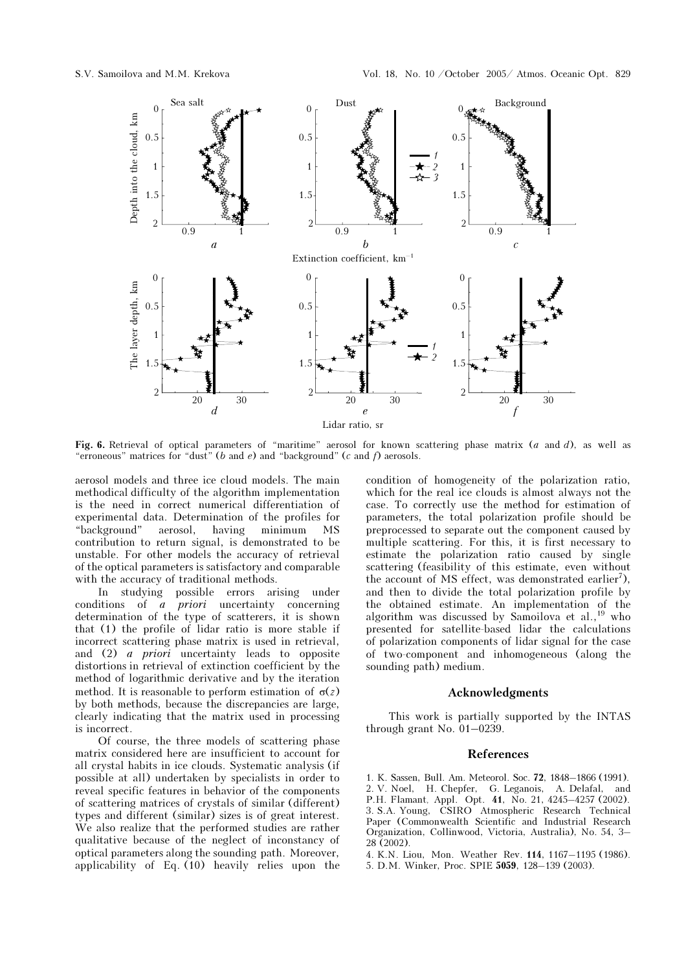

Fig. 6. Retrieval of optical parameters of "maritime" aerosol for known scattering phase matrix  $(a \text{ and } d)$ , as well as "erroneous" matrices for "dust" (b and e) and "background" (c and f) aerosols.

aerosol models and three ice cloud models. The main methodical difficulty of the algorithm implementation is the need in correct numerical differentiation of experimental data. Determination of the profiles for<br>"background" aerosol, having minimum MS aerosol, having minimum MS contribution to return signal, is demonstrated to be unstable. For other models the accuracy of retrieval of the optical parameters is satisfactory and comparable with the accuracy of traditional methods.

In studying possible errors arising under conditions of a priori uncertainty concerning determination of the type of scatterers, it is shown that (1) the profile of lidar ratio is more stable if incorrect scattering phase matrix is used in retrieval, and (2) a priori uncertainty leads to opposite distortions in retrieval of extinction coefficient by the method of logarithmic derivative and by the iteration method. It is reasonable to perform estimation of  $\sigma(z)$ by both methods, because the discrepancies are large, clearly indicating that the matrix used in processing is incorrect.

Of course, the three models of scattering phase matrix considered here are insufficient to account for all crystal habits in ice clouds. Systematic analysis (if possible at all) undertaken by specialists in order to reveal specific features in behavior of the components of scattering matrices of crystals of similar (different) types and different (similar) sizes is of great interest. We also realize that the performed studies are rather qualitative because of the neglect of inconstancy of optical parameters along the sounding path. Moreover, applicability of Eq. (10) heavily relies upon the condition of homogeneity of the polarization ratio, which for the real ice clouds is almost always not the case. To correctly use the method for estimation of parameters, the total polarization profile should be preprocessed to separate out the component caused by multiple scattering. For this, it is first necessary to estimate the polarization ratio caused by single scattering (feasibility of this estimate, even without the account of MS effect, was demonstrated earlier<sup>7</sup>), and then to divide the total polarization profile by the obtained estimate. An implementation of the algorithm was discussed by Samoilova et al.,<sup>19</sup> who presented for satellite-based lidar the calculations of polarization components of lidar signal for the case of two-component and inhomogeneous (along the sounding path) medium.

### Acknowledgments

This work is partially supported by the INTAS through grant No. 01–0239.

### References

1. K. Sassen, Bull. Am. Meteorol. Soc. 72, 1848–1866 (1991). 2. V. Noel, H. Chepfer, G. Leganois, A. Delafal, and P.H. Flamant, Appl. Opt. 41, No. 21, 4245–4257 (2002). 3. S.A. Young, CSIRO Atmospheric Research Technical Paper (Commonwealth Scientific and Industrial Research Organization, Collinwood, Victoria, Australia), No. 54, 3– 28 (2002).

4. K.N. Liou, Mon. Weather Rev. 114, 1167–1195 (1986).

5. D.M. Winker, Proc. SPIE 5059, 128–139 (2003).